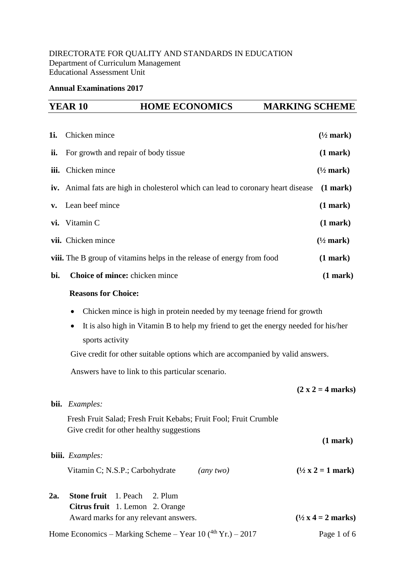# DIRECTORATE FOR QUALITY AND STANDARDS IN EDUCATION Department of Curriculum Management Educational Assessment Unit

## **Annual Examinations 2017**

|              | <b>YEAR 10</b><br><b>HOME ECONOMICS</b>                                                                       | <b>MARKING SCHEME</b>                     |  |  |
|--------------|---------------------------------------------------------------------------------------------------------------|-------------------------------------------|--|--|
|              |                                                                                                               |                                           |  |  |
| 1 <i>i</i> . | Chicken mince                                                                                                 | $(\frac{1}{2}$ mark)                      |  |  |
| ii.          | For growth and repair of body tissue                                                                          | (1 mark)                                  |  |  |
| iii.         | Chicken mince                                                                                                 | $(\frac{1}{2}$ mark)                      |  |  |
| iv.          | Animal fats are high in cholesterol which can lead to coronary heart disease                                  | (1 mark)                                  |  |  |
| v.           | Lean beef mince                                                                                               | (1 mark)                                  |  |  |
| vi.          | Vitamin C                                                                                                     | (1 mark)                                  |  |  |
|              | vii. Chicken mince                                                                                            | $(\frac{1}{2}$ mark)                      |  |  |
|              | viii. The B group of vitamins helps in the release of energy from food                                        | (1 mark)                                  |  |  |
| bi.          | Choice of mince: chicken mince                                                                                | (1 mark)                                  |  |  |
|              | <b>Reasons for Choice:</b>                                                                                    |                                           |  |  |
|              | Chicken mince is high in protein needed by my teenage friend for growth                                       |                                           |  |  |
|              | It is also high in Vitamin B to help my friend to get the energy needed for his/her<br>٠<br>sports activity   |                                           |  |  |
|              | Give credit for other suitable options which are accompanied by valid answers.                                |                                           |  |  |
|              | Answers have to link to this particular scenario.                                                             |                                           |  |  |
|              |                                                                                                               | $(2 x 2 = 4 marks)$                       |  |  |
|              | bii. Examples:                                                                                                |                                           |  |  |
|              | Fresh Fruit Salad; Fresh Fruit Kebabs; Fruit Fool; Fruit Crumble<br>Give credit for other healthy suggestions |                                           |  |  |
|              |                                                                                                               | (1 mark)                                  |  |  |
|              | biii. Examples:                                                                                               |                                           |  |  |
|              | Vitamin C; N.S.P.; Carbohydrate<br>(any two)                                                                  | $(\frac{1}{2} \times 2 = 1 \text{ mark})$ |  |  |
|              | £<br>$\overline{1}$ Decay $\overline{1}$ $\overline{2}$ D1                                                    |                                           |  |  |

**2a. Stone fruit** 1. Peach 2. Plum **Citrus fruit** 1. Lemon 2. Orange Award marks for any relevant answers.  $(1/2 \times 4 = 2 \text{ marks})$ 

Home Economics – Marking Scheme – Year  $10(^{4th}$  Yr.) – 2017 Page 1 of 6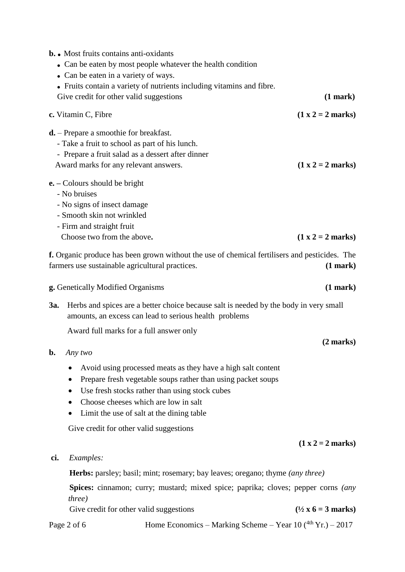|                                                                                                                                                        | <b>b.</b> • Most fruits contains anti-oxidants<br>• Can be eaten in a variety of ways.                                                                                  | • Can be eaten by most people whatever the health condition                                                                                                                                                                                                         |                                      |
|--------------------------------------------------------------------------------------------------------------------------------------------------------|-------------------------------------------------------------------------------------------------------------------------------------------------------------------------|---------------------------------------------------------------------------------------------------------------------------------------------------------------------------------------------------------------------------------------------------------------------|--------------------------------------|
|                                                                                                                                                        | Give credit for other valid suggestions                                                                                                                                 | • Fruits contain a variety of nutrients including vitamins and fibre.                                                                                                                                                                                               | (1 mark)                             |
|                                                                                                                                                        | c. Vitamin C, Fibre                                                                                                                                                     |                                                                                                                                                                                                                                                                     | $(1 x 2 = 2 marks)$                  |
|                                                                                                                                                        | $\mathbf{d}$ . – Prepare a smoothie for breakfast.<br>- Take a fruit to school as part of his lunch.<br>Award marks for any relevant answers.                           | - Prepare a fruit salad as a dessert after dinner                                                                                                                                                                                                                   | $(1 x 2 = 2 marks)$                  |
|                                                                                                                                                        | $e. -$ Colours should be bright<br>- No bruises<br>- No signs of insect damage<br>- Smooth skin not wrinkled<br>- Firm and straight fruit<br>Choose two from the above. |                                                                                                                                                                                                                                                                     | $(1 x 2 = 2 marks)$                  |
|                                                                                                                                                        | farmers use sustainable agricultural practices.                                                                                                                         | f. Organic produce has been grown without the use of chemical fertilisers and pesticides. The                                                                                                                                                                       | (1 mark)                             |
|                                                                                                                                                        | g. Genetically Modified Organisms                                                                                                                                       |                                                                                                                                                                                                                                                                     | (1 mark)                             |
| Herbs and spices are a better choice because salt is needed by the body in very small<br>3a.<br>amounts, an excess can lead to serious health problems |                                                                                                                                                                         |                                                                                                                                                                                                                                                                     |                                      |
|                                                                                                                                                        | Award full marks for a full answer only                                                                                                                                 |                                                                                                                                                                                                                                                                     |                                      |
|                                                                                                                                                        | $\mathbf{b}$ . Any two                                                                                                                                                  |                                                                                                                                                                                                                                                                     | $(2 \text{ marks})$                  |
|                                                                                                                                                        | ٠                                                                                                                                                                       | Avoid using processed meats as they have a high salt content<br>Prepare fresh vegetable soups rather than using packet soups<br>Use fresh stocks rather than using stock cubes<br>Choose cheeses which are low in salt<br>Limit the use of salt at the dining table |                                      |
|                                                                                                                                                        | Give credit for other valid suggestions                                                                                                                                 |                                                                                                                                                                                                                                                                     | $(1 x 2 = 2 marks)$                  |
| ci.                                                                                                                                                    | Examples:                                                                                                                                                               |                                                                                                                                                                                                                                                                     |                                      |
|                                                                                                                                                        |                                                                                                                                                                         | <b>Herbs:</b> parsley; basil; mint; rosemary; bay leaves; oregano; thyme <i>(any three)</i>                                                                                                                                                                         |                                      |
|                                                                                                                                                        | <i>three</i> )                                                                                                                                                          | Spices: cinnamon; curry; mustard; mixed spice; paprika; cloves; pepper corns (any                                                                                                                                                                                   |                                      |
|                                                                                                                                                        | Give credit for other valid suggestions                                                                                                                                 |                                                                                                                                                                                                                                                                     | $(\frac{1}{2}x 6 = 3 \text{ marks})$ |
|                                                                                                                                                        | Page 2 of 6                                                                                                                                                             | Home Economics – Marking Scheme – Year 10 $(^{4th}$ Yr.) – 2017                                                                                                                                                                                                     |                                      |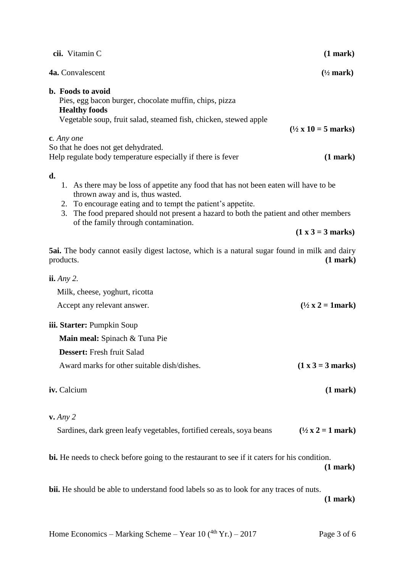| cii. Vitamin C                                                                                                                                                                                                                                                                                                                     | (1 mark)                                    |
|------------------------------------------------------------------------------------------------------------------------------------------------------------------------------------------------------------------------------------------------------------------------------------------------------------------------------------|---------------------------------------------|
| 4a. Convalescent                                                                                                                                                                                                                                                                                                                   | $(\frac{1}{2}$ mark)                        |
| <b>b.</b> Foods to avoid<br>Pies, egg bacon burger, chocolate muffin, chips, pizza<br><b>Healthy foods</b><br>Vegetable soup, fruit salad, steamed fish, chicken, stewed apple                                                                                                                                                     | $(\frac{1}{2} \times 10 = 5 \text{ marks})$ |
| c. Any one<br>So that he does not get dehydrated.<br>Help regulate body temperature especially if there is fever                                                                                                                                                                                                                   | (1 mark)                                    |
| d.<br>1. As there may be loss of appetite any food that has not been eaten will have to be<br>thrown away and is, thus wasted.<br>2. To encourage eating and to tempt the patient's appetite.<br>The food prepared should not present a hazard to both the patient and other members<br>3.<br>of the family through contamination. |                                             |
|                                                                                                                                                                                                                                                                                                                                    | $(1 x 3 = 3 marks)$                         |
| <b>5ai.</b> The body cannot easily digest lactose, which is a natural sugar found in milk and dairy<br>products.                                                                                                                                                                                                                   | (1 mark)                                    |
| $i\mathbf{i}$ . Any 2.<br>Milk, cheese, yoghurt, ricotta<br>Accept any relevant answer.                                                                                                                                                                                                                                            | $(\frac{1}{2} x 2 = 1$ mark)                |
| iii. Starter: Pumpkin Soup<br>Main meal: Spinach & Tuna Pie<br>Dessert: Fresh fruit Salad                                                                                                                                                                                                                                          |                                             |
| Award marks for other suitable dish/dishes.                                                                                                                                                                                                                                                                                        | $(1 x 3 = 3 marks)$                         |
| iv. Calcium                                                                                                                                                                                                                                                                                                                        | (1 mark)                                    |
| $v.$ Any 2                                                                                                                                                                                                                                                                                                                         |                                             |
| Sardines, dark green leafy vegetables, fortified cereals, soya beans                                                                                                                                                                                                                                                               | $(\frac{1}{2}x^2) = 1$ mark)                |
| bi. He needs to check before going to the restaurant to see if it caters for his condition.                                                                                                                                                                                                                                        | (1 mark)                                    |
| bii. He should be able to understand food labels so as to look for any traces of nuts.                                                                                                                                                                                                                                             | (1 mark)                                    |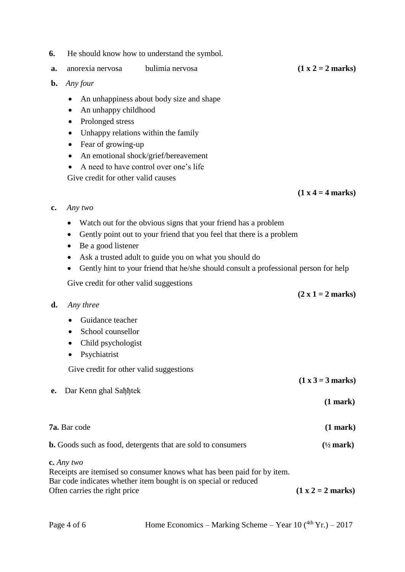- **6.** He should know how to understand the symbol.
- **a.** anorexia nervosa bulimia nervosa **(1 x 2 = 2 marks)**
- **b.** *Any four*
	- An unhappiness about body size and shape
	- An unhappy childhood
	- Prolonged stress
	- Unhappy relations within the family
	- Fear of growing-up
	- An emotional shock/grief/bereavement
	- A need to have control over one's life

Give credit for other valid causes

 $(1 \times 4 = 4 \text{ marks})$ 

 **(2 x 1 = 2 marks)**

- **c.** *Any two*
	- Watch out for the obvious signs that your friend has a problem
	- Gently point out to your friend that you feel that there is a problem
	- Be a good listener
	- Ask a trusted adult to guide you on what you should do
	- Gently hint to your friend that he/she should consult a professional person for help

Give credit for other valid suggestions

**d.** *Any three*

## • Guidance teacher

- School counsellor
- Child psychologist
- Psychiatrist

Give credit for other valid suggestions

- **e.** Dar Kenn ghal Saђђtek
- **(1 mark)**

 **(1 x 3 = 3 marks)**

**7a.** Bar code **(1 mark)**

**b.** Goods such as food, detergents that are sold to consumers **(½ mark)**

**c.** *Any two*

| Receipts are itemised so consumer knows what has been paid for by item. |                     |
|-------------------------------------------------------------------------|---------------------|
| Bar code indicates whether item bought is on special or reduced         |                     |
| Often carries the right price                                           | $(1 x 2 = 2 marks)$ |

Page 4 of 6 Home Economics – Marking Scheme – Year  $10(^{4th}$  Yr.) – 2017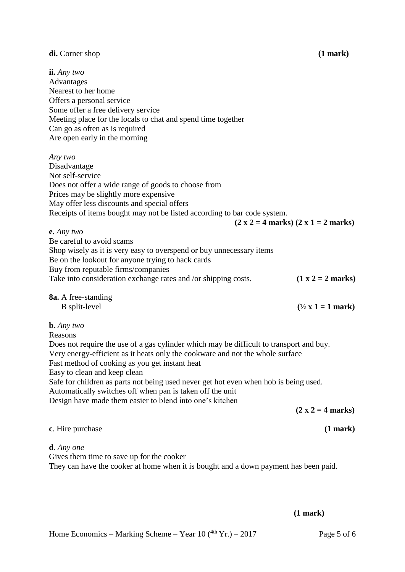## **di.** Corner shop **(1 mark)**

**ii.** *Any two* Advantages Nearest to her home Offers a personal service Some offer a free delivery service Meeting place for the locals to chat and spend time together Can go as often as is required Are open early in the morning *Any two* Disadvantage Not self-service Does not offer a wide range of goods to choose from Prices may be slightly more expensive May offer less discounts and special offers Receipts of items bought may not be listed according to bar code system.  $(2 \times 2 = 4 \text{ marks}) (2 \times 1 = 2 \text{ marks})$ **e.** *Any two* Be careful to avoid scams Shop wisely as it is very easy to overspend or buy unnecessary items Be on the lookout for anyone trying to hack cards Buy from reputable firms/companies Take into consideration exchange rates and /or shipping costs.  $(1 \times 2 = 2 \text{ marks})$ **8a.** A free-standing B split-level  $(\frac{1}{2} \times 1) = 1$  mark) **b.** *Any two* Reasons Does not require the use of a gas cylinder which may be difficult to transport and buy. Very energy-efficient as it heats only the cookware and not the whole surface Fast method of cooking as you get instant heat Easy to clean and keep clean Safe for children as parts not being used never get hot even when hob is being used. Automatically switches off when pan is taken off the unit Design have made them easier to blend into one's kitchen  $(2 \times 2) = 4$  marks) **c**. Hire purchase **(1 mark) d***. Any one* Gives them time to save up for the cooker They can have the cooker at home when it is bought and a down payment has been paid.

### **(1 mark)**